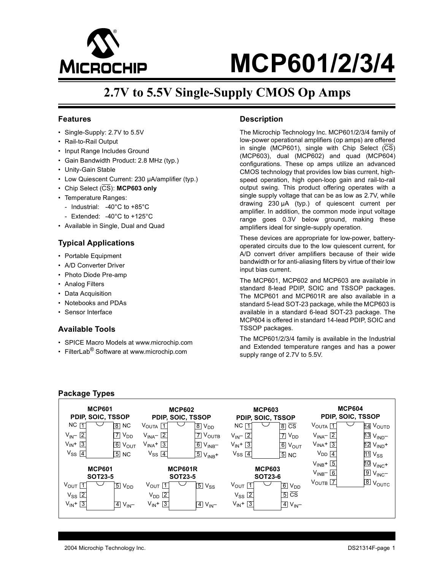

# М**ІСР601/2/3/4**

## **2.7V to 5.5V Single-Supply CMOS Op Amps**

#### **Features**

- Single-Supply: 2.7V to 5.5V
- Rail-to-Rail Output
- Input Range Includes Ground
- Gain Bandwidth Product: 2.8 MHz (typ.)
- Unity-Gain Stable
- Low Quiescent Current: 230 µA/amplifier (typ.)
- Chip Select (CS): **MCP603 only**
- Temperature Ranges:
	- Industrial: -40°C to +85°C
	- Extended: -40°C to +125°C
- Available in Single, Dual and Quad

### **Typical Applications**

- Portable Equipment
- A/D Converter Driver
- Photo Diode Pre-amp
- Analog Filters
- Data Acquisition
- Notebooks and PDAs
- Sensor Interface

#### **Available Tools**

- SPICE Macro Models at www.microchip.com
- FilterLab<sup>®</sup> Software at www.microchip.com

#### **Description**

The Microchip Technology Inc. MCP601/2/3/4 family of low-power operational amplifiers (op amps) are offered in single (MCP601), single with Chip Select  $(\overline{CS})$ (MCP603), dual (MCP602) and quad (MCP604) configurations. These op amps utilize an advanced CMOS technology that provides low bias current, highspeed operation, high open-loop gain and rail-to-rail output swing. This product offering operates with a single supply voltage that can be as low as 2.7V, while drawing 230 µA (typ.) of quiescent current per amplifier. In addition, the common mode input voltage range goes 0.3V below ground, making these amplifiers ideal for single-supply operation.

These devices are appropriate for low-power, batteryoperated circuits due to the low quiescent current, for A/D convert driver amplifiers because of their wide bandwidth or for anti-aliasing filters by virtue of their low input bias current.

The MCP601, MCP602 and MCP603 are available in standard 8-lead PDIP, SOIC and TSSOP packages. The MCP601 and MCP601R are also available in a standard 5-lead SOT-23 package, while the MCP603 is available in a standard 6-lead SOT-23 package. The MCP604 is offered in standard 14-lead PDIP, SOIC and TSSOP packages.

The MCP601/2/3/4 family is available in the Industrial and Extended temperature ranges and has a power supply range of 2.7V to 5.5V.

### **Package Types**

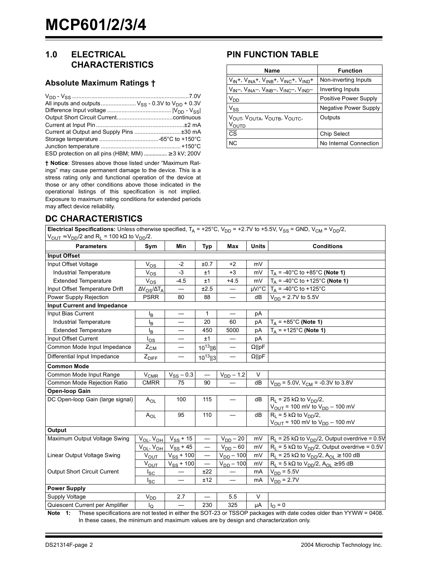## **1.0 ELECTRICAL CHARACTERISTICS**

#### **Absolute Maximum Ratings †**

| All inputs and outputs $V_{SS}$ - 0.3V to $V_{DD}$ + 0.3V |  |
|-----------------------------------------------------------|--|
|                                                           |  |
|                                                           |  |
|                                                           |  |
|                                                           |  |
|                                                           |  |
|                                                           |  |
| ESD protection on all pins (HBM; MM) $\geq$ 3 kV; 200V    |  |

**† Notice**: Stresses above those listed under "Maximum Ratings" may cause permanent damage to the device. This is a stress rating only and functional operation of the device at those or any other conditions above those indicated in the operational listings of this specification is not implied. Exposure to maximum rating conditions for extended periods may affect device reliability.

## **PIN FUNCTION TABLE**

| Name                                                           | <b>Function</b>              |
|----------------------------------------------------------------|------------------------------|
| $V_{IN}$ +, $V_{INA}$ +, $V_{INB}$ +, $V_{INC}$ +, $V_{IND}$ + | Non-inverting Inputs         |
| $V_{IN}$ , $V_{INA}$ , $V_{INB}$ , $V_{INC}$ , $V_{IND}$       | Inverting Inputs             |
| $V_{DD}$                                                       | Positive Power Supply        |
| $V_{SS}$                                                       | <b>Negative Power Supply</b> |
| VOUT, VOUTA, VOUTB, VOUTC,                                     | Outputs                      |
| VOUTD                                                          |                              |
| $\overline{\text{cs}}$                                         | <b>Chip Select</b>           |
| <b>NC</b>                                                      | No Internal Connection       |

| <b>DC CHARACTERISTICS</b> |  |
|---------------------------|--|
|---------------------------|--|

**Electrical Specifications:** Unless otherwise specified,  $T_A = +25^\circ C$ ,  $V_{DD} = +2.7V$  to +5.5V,  $V_{SS} = GND$ ,  $V_{CM} = V_{DD}/2$ ,  $V_{\text{OUT}} \approx V_{\text{DD}}/2$  and R<sub>L</sub> = 100 kΩ to V<sub>DD</sub>/2.

| ∪∪ 1<br>◡<br>— ∟<br><b>Parameters</b> | ◡<br>Sym                   | Min            | Typ                      | Max                      | <b>Units</b>  | <b>Conditions</b>                                                                                                         |
|---------------------------------------|----------------------------|----------------|--------------------------|--------------------------|---------------|---------------------------------------------------------------------------------------------------------------------------|
| <b>Input Offset</b>                   |                            |                |                          |                          |               |                                                                                                                           |
| Input Offset Voltage                  | $V_{OS}$                   | $-2$           | ±0.7                     | $+2$                     | mV            |                                                                                                                           |
| Industrial Temperature                | $V_{OS}$                   | $-3$           | ±1                       | $+3$                     | mV            | $T_A$ = -40°C to +85°C (Note 1)                                                                                           |
| <b>Extended Temperature</b>           | $V_{OS}$                   | $-4.5$         | ±1                       | $+4.5$                   | mV            | $T_A$ = -40°C to +125°C (Note 1)                                                                                          |
| Input Offset Temperature Drift        | $\Delta V_{OS}/\Delta T_A$ |                | ±2.5                     |                          |               | $\mu$ V/°C   T <sub>A</sub> = -40°C to +125°C                                                                             |
| Power Supply Rejection                | <b>PSRR</b>                | 80             | 88                       | $\overline{\phantom{0}}$ | dB            | $V_{DD}$ = 2.7V to 5.5V                                                                                                   |
| <b>Input Current and Impedance</b>    |                            |                |                          |                          |               |                                                                                                                           |
| Input Bias Current                    | lB                         |                | 1                        |                          | pA            |                                                                                                                           |
| Industrial Temperature                | l <sub>B</sub>             |                | 20                       | 60                       | pA            | $T_A$ = +85°C (Note 1)                                                                                                    |
| <b>Extended Temperature</b>           | l <sub>B</sub>             |                | 450                      | 5000                     | pA            | $T_A$ = +125°C (Note 1)                                                                                                   |
| Input Offset Current                  | l <sub>OS</sub>            |                | ±1                       | —                        | pA            |                                                                                                                           |
| Common Mode Input Impedance           | $Z_{CM}$                   |                | $10^{13}$   6            |                          | $\Omega$   pF |                                                                                                                           |
| Differential Input Impedance          | $Z_{\text{DIFF}}$          |                | $\overline{10}^{13}$   3 | $\overline{\phantom{0}}$ | $\Omega$   pF |                                                                                                                           |
| <b>Common Mode</b>                    |                            |                |                          |                          |               |                                                                                                                           |
| Common Mode Input Range               | $V_{CMR}$                  | $V_{SS} - 0.3$ |                          | $V_{DD} - 1.2$           | $\vee$        |                                                                                                                           |
| Common Mode Rejection Ratio           | <b>CMRR</b>                | 75             | 90                       |                          | dB            | $V_{DD}$ = 5.0V, $V_{CM}$ = -0.3V to 3.8V                                                                                 |
| Open-loop Gain                        |                            |                |                          |                          |               |                                                                                                                           |
| DC Open-loop Gain (large signal)      | $A_{OL}$                   | 100            | 115                      |                          | dB            | $R_1 = 25 k\Omega$ to $V_{DD}/2$ ,                                                                                        |
|                                       |                            |                |                          |                          |               | $V_{OUT}$ = 100 mV to $V_{DD}$ – 100 mV                                                                                   |
|                                       | $\mathsf{A}_{\mathsf{OL}}$ | 95             | 110                      |                          | dB            | $R_1 = 5 k\Omega$ to $V_{DD}/2$ ,                                                                                         |
|                                       |                            |                |                          |                          |               | $V_{OUT}$ = 100 mV to $V_{DD}$ – 100 mV                                                                                   |
| Output                                |                            |                |                          |                          |               |                                                                                                                           |
| Maximum Output Voltage Swing          | $V_{OL}$ , $V_{OH}$        | $V_{SS}$ + 15  | $\qquad \qquad -$        | $V_{DD} - 20$            | mV            | $R_L$ = 25 k $\Omega$ to V <sub>DD</sub> /2, Output overdrive = 0.5V                                                      |
|                                       | $V_{OL}$ , $V_{OH}$        | $V_{SS}$ + 45  |                          | $V_{DD}$ – 60            | mV            | $R_1 = 5 k\Omega$ to $V_{DD}/2$ , Output overdrive = 0.5V                                                                 |
| Linear Output Voltage Swing           | $V_{OUT}$                  | $V_{SS}$ + 100 |                          | $V_{DD} - 100$           | mV            | $R_L$ = 25 kΩ to V <sub>DD</sub> /2, A <sub>OL</sub> ≥ 100 dB                                                             |
|                                       | $V_{\text{OUT}}$           | $V_{SS}$ + 100 |                          | $V_{DD} - 100$           | mV            | $R_1 = 5 k\Omega$ to $V_{DD}/2$ , $A_{OL} \ge 95 dB$                                                                      |
| <b>Output Short Circuit Current</b>   | $I_{SC}$                   |                | ±22                      |                          | mA            | $V_{DD} = 5.5V$                                                                                                           |
|                                       | $I_{SC}$                   |                | ±12                      |                          | mA            | $V_{DD} = 2.7V$                                                                                                           |
| <b>Power Supply</b>                   |                            |                |                          |                          |               |                                                                                                                           |
| Supply Voltage                        | $V_{D\underline{D}}$       | 2.7            |                          | 5.5                      | $\vee$        |                                                                                                                           |
| Quiescent Current per Amplifier       | l <sub>Q</sub>             |                | 230                      | 325                      | μA            | $I_{O} = 0$                                                                                                               |
|                                       |                            |                |                          |                          |               | Note 1: These specifications are not tested in either the SOT-23 or TSSOP packages with date codes older than YYWW = 0408 |

<span id="page-1-0"></span>ations are not tested in either the SOT-23 or TSSOP packages with date codes older than YYWW In these cases, the minimum and maximum values are by design and characterization only.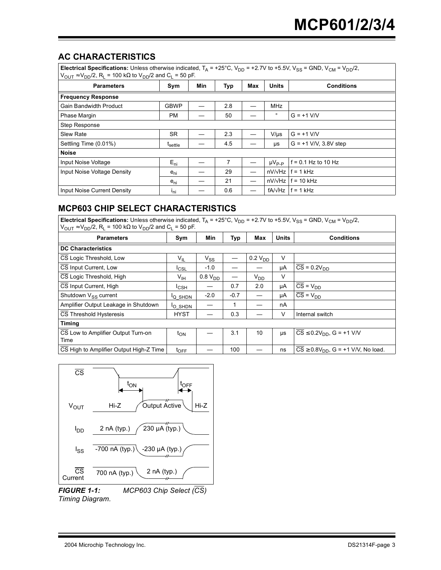## **AC CHARACTERISTICS**

| Electrical Specifications: Unless otherwise indicated, $T_A = +25^{\circ}C$ , $V_{DD} = +2.7V$ to +5.5V, $V_{SS} = GND$ , $V_{CM} = V_{DD}/2$ ,<br>$V_{\text{OUT}} \approx V_{\text{DD}}/2$ , R <sub>L</sub> = 100 kΩ to $V_{\text{DD}}/2$ and C <sub>L</sub> = 50 pF. |                                  |     |     |     |                      |                           |  |  |  |
|------------------------------------------------------------------------------------------------------------------------------------------------------------------------------------------------------------------------------------------------------------------------|----------------------------------|-----|-----|-----|----------------------|---------------------------|--|--|--|
| <b>Parameters</b>                                                                                                                                                                                                                                                      | Sym                              | Min | Typ | Max | <b>Units</b>         | <b>Conditions</b>         |  |  |  |
| <b>Frequency Response</b>                                                                                                                                                                                                                                              |                                  |     |     |     |                      |                           |  |  |  |
| <b>Gain Bandwidth Product</b>                                                                                                                                                                                                                                          | <b>GBWP</b>                      |     | 2.8 |     | <b>MHz</b>           |                           |  |  |  |
| Phase Margin                                                                                                                                                                                                                                                           | <b>PM</b>                        |     | 50  |     | $\circ$              | $G = +1$ V/V              |  |  |  |
| Step Response                                                                                                                                                                                                                                                          |                                  |     |     |     |                      |                           |  |  |  |
| Slew Rate                                                                                                                                                                                                                                                              | <b>SR</b>                        |     | 2.3 |     | $V/\mu s$            | $G = +1$ V/V              |  |  |  |
| Settling Time (0.01%)                                                                                                                                                                                                                                                  | $\mathfrak{r}_{\mathsf{settle}}$ |     | 4.5 |     | μs                   | $G = +1$ V/V, 3.8V step   |  |  |  |
| <b>Noise</b>                                                                                                                                                                                                                                                           |                                  |     |     |     |                      |                           |  |  |  |
| Input Noise Voltage                                                                                                                                                                                                                                                    | $E_{ni}$                         |     | 7   |     | $\mu V_{\text{P-P}}$ | $f = 0.1$ Hz to 10 Hz     |  |  |  |
| Input Noise Voltage Density                                                                                                                                                                                                                                            | $e_{ni}$                         |     | 29  |     | $nV/\sqrt{Hz}$       | $f = 1$ kHz               |  |  |  |
|                                                                                                                                                                                                                                                                        | $e_{ni}$                         |     | 21  |     | $nV/\sqrt{Hz}$       | $f = 10$ kHz              |  |  |  |
| Input Noise Current Density                                                                                                                                                                                                                                            | ı <sub>ni</sub>                  |     | 0.6 |     |                      | $fA/\sqrt{Hz}$ If = 1 kHz |  |  |  |

## **MCP603 CHIP SELECT CHARACTERISTICS**

**Electrical Specifications:** Unless otherwise indicated,  $T_A = +25^{\circ}C$ ,  $V_{DD} = +2.7V$  to +5.5V,  $V_{SS} = GND$ ,  $V_{CM} = V_{DD}/2$ ,  $V_{\text{OUT}} \approx V_{\text{DD}}/2$ , R<sub>L</sub> = 100 kΩ to  $V_{\text{DD}}/2$  and C<sub>L</sub> = 50 pF.

| <b>Parameters</b>                               | Sym                 | Min                 | Typ    | Max             | <b>Units</b> | <b>Conditions</b>                                      |
|-------------------------------------------------|---------------------|---------------------|--------|-----------------|--------------|--------------------------------------------------------|
| <b>DC Characteristics</b>                       |                     |                     |        |                 |              |                                                        |
| CS Logic Threshold, Low                         | $V_{IL}$            | $V_{SS}$            |        | $0.2 V_{DD}$    | V            |                                                        |
| CS Input Current, Low                           | $I_{CSL}$           | $-1.0$              |        |                 | μA           | $\overline{\text{CS}}$ = 0.2V <sub>DD</sub>            |
| CS Logic Threshold, High                        | $V_{\text{IH}}$     | 0.8 V <sub>DD</sub> |        | V <sub>DD</sub> | $\vee$       |                                                        |
| CS Input Current, High                          | $I_{\text{CSH}}$    |                     | 0.7    | 2.0             | μA           | $CS = V_{DD}$                                          |
| Shutdown $V_{\scriptscriptstyle\rm CC}$ current | <sup>I</sup> Q SHDN | $-2.0$              | $-0.7$ |                 | μA           | $\overline{CS}$ = $V_{DD}$                             |
| Amplifier Output Leakage in Shutdown            | <sup>I</sup> O SHDN |                     |        |                 | nA           |                                                        |
| CS Threshold Hysteresis                         | <b>HYST</b>         |                     | 0.3    |                 | $\vee$       | Internal switch                                        |
| Timing                                          |                     |                     |        |                 |              |                                                        |
| CS Low to Amplifier Output Turn-on              | $t_{\mathsf{ON}}$   |                     | 3.1    | 10              | μs           | $\overline{CS}$ $\leq$ 0.2V <sub>DD</sub> , G = +1 V/V |
| Time                                            |                     |                     |        |                 |              |                                                        |
| CS High to Amplifier Output High-Z Time         | $t_{\text{OFF}}$    |                     | 100    |                 | ns           | $CS \geq 0.8V_{DD}$ , G = +1 V/V, No load.             |



<span id="page-2-0"></span>*Timing Diagram.*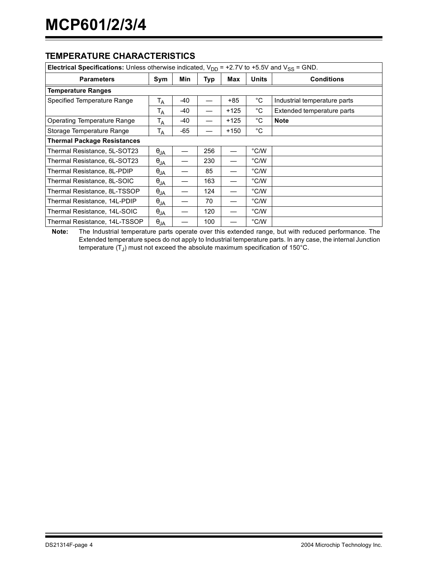## **TEMPERATURE CHARACTERISTICS**

| <b>Electrical Specifications:</b> Unless otherwise indicated, $V_{DD}$ = +2.7V to +5.5V and $V_{SS}$ = GND. |                        |       |            |        |              |                              |  |  |  |  |
|-------------------------------------------------------------------------------------------------------------|------------------------|-------|------------|--------|--------------|------------------------------|--|--|--|--|
| <b>Parameters</b>                                                                                           | Sym                    | Min   | <b>Typ</b> | Max    | <b>Units</b> | <b>Conditions</b>            |  |  |  |  |
| <b>Temperature Ranges</b>                                                                                   |                        |       |            |        |              |                              |  |  |  |  |
| Specified Temperature Range                                                                                 | $T_A$                  | $-40$ |            | $+85$  | °C           | Industrial temperature parts |  |  |  |  |
|                                                                                                             | Т <sub>А</sub>         | $-40$ |            | $+125$ | °C           | Extended temperature parts   |  |  |  |  |
| Operating Temperature Range                                                                                 | Т <sub>А</sub>         | $-40$ |            | $+125$ | $^{\circ}$ C | <b>Note</b>                  |  |  |  |  |
| Storage Temperature Range                                                                                   | T <sub>A</sub>         | $-65$ |            | $+150$ | °C           |                              |  |  |  |  |
| <b>Thermal Package Resistances</b>                                                                          |                        |       |            |        |              |                              |  |  |  |  |
| Thermal Resistance, 5L-SOT23                                                                                | $\theta_{JA}$          |       | 256        |        | °C/W         |                              |  |  |  |  |
| Thermal Resistance, 6L-SOT23                                                                                | $\theta_{JA}$          |       | 230        |        | °C/W         |                              |  |  |  |  |
| Thermal Resistance, 8L-PDIP                                                                                 | $\theta_{JA}$          |       | 85         |        | °C/W         |                              |  |  |  |  |
| Thermal Resistance, 8L-SOIC                                                                                 | $\theta_{JA}$          |       | 163        |        | °C/W         |                              |  |  |  |  |
| Thermal Resistance, 8L-TSSOP                                                                                | $\theta_{JA}$          |       | 124        |        | °C/W         |                              |  |  |  |  |
| Thermal Resistance, 14L-PDIP                                                                                | $\theta_{JA}$          |       | 70         |        | °C/W         |                              |  |  |  |  |
| Thermal Resistance, 14L-SOIC                                                                                | $\theta_{JA}$          |       | 120        |        | °C/W         |                              |  |  |  |  |
| Thermal Resistance, 14L-TSSOP                                                                               | $\theta_{\mathsf{JA}}$ |       | 100        |        | °C/W         |                              |  |  |  |  |

<span id="page-3-0"></span>**Note:** The Industrial temperature parts operate over this extended range, but with reduced performance. The Extended temperature specs do not apply to Industrial temperature parts. In any case, the internal Junction temperature  $(T_J)$  must not exceed the absolute maximum specification of 150 $^{\circ}$ C.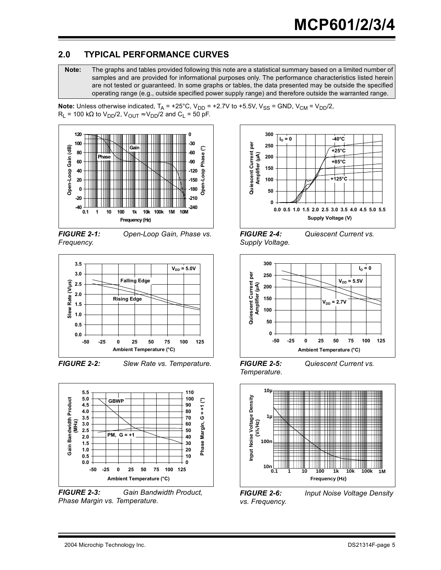## **2.0 TYPICAL PERFORMANCE CURVES**

**Note:** The graphs and tables provided following this note are a statistical summary based on a limited number of samples and are provided for informational purposes only. The performance characteristics listed herein are not tested or guaranteed. In some graphs or tables, the data presented may be outside the specified operating range (e.g., outside specified power supply range) and therefore outside the warranted range.

**Note:** Unless otherwise indicated,  $T_A = +25^{\circ}C$ ,  $V_{DD} = +2.7V$  to  $+5.5V$ ,  $V_{SS} = GND$ ,  $V_{CM} = V_{DD}/2$ ,  $R_L$  = 100 kΩ to V<sub>DD</sub>/2, V<sub>OUT</sub>  $\approx$  V<sub>DD</sub>/2 and C<sub>L</sub> = 50 pF.



*FIGURE 2-1: Open-Loop Gain, Phase vs. Frequency.*







*FIGURE 2-3: Gain Bandwidth Product, Phase Margin vs. Temperature.*



*FIGURE 2-4: Quiescent Current vs. Supply Voltage.*



*FIGURE 2-5: Quiescent Current vs. Temperature.*



*vs. Frequency.*

*FIGURE 2-6: Input Noise Voltage Density*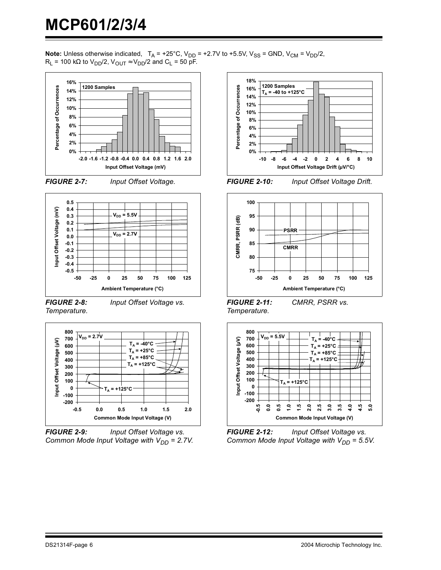**Note:** Unless otherwise indicated,  $T_A = +25^\circ \text{C}$ ,  $V_{DD} = +2.7 \text{V}$  to  $+5.5 \text{V}$ ,  $V_{SS} =$  GND,  $V_{CM} = V_{DD}/2$ ,  $R_L$  = 100 kΩ to V<sub>DD</sub>/2, V<sub>OUT</sub>  $\approx$  V<sub>DD</sub>/2 and C<sub>L</sub> = 50 pF.







*FIGURE 2-8: Input Offset Voltage vs. Temperature.*



*FIGURE 2-9: Input Offset Voltage vs. Common Mode Input Voltage with V<sub>DD</sub> = 2.7V.* 







*FIGURE 2-11: CMRR, PSRR vs. Temperature.*



*FIGURE 2-12: Input Offset Voltage vs. Common Mode Input Voltage with V<sub>DD</sub> = 5.5V.*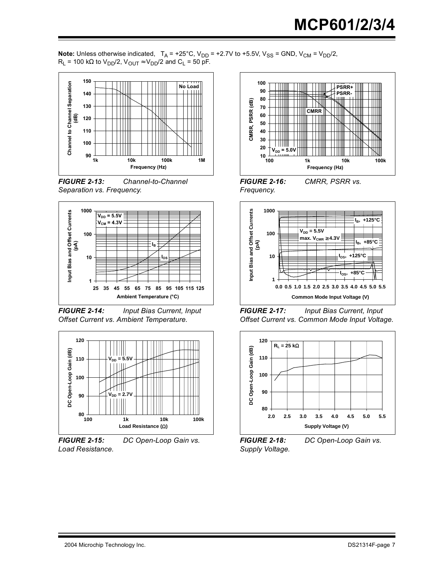**Note:** Unless otherwise indicated,  $T_A$  = +25°C, V<sub>DD</sub> = +2.7V to +5.5V, V<sub>SS</sub> = GND, V<sub>CM</sub> = V<sub>DD</sub>/2,  $R_{L}$  = 100 kΩ to V<sub>DD</sub>/2, V<sub>OUT</sub> ≈ V<sub>DD</sub>/2 and C<sub>L</sub> = 50 pF.







*FIGURE 2-14: Input Bias Current, Input Offset Current vs. Ambient Temperature.*



*FIGURE 2-15: DC Open-Loop Gain vs. Load Resistance.*



*Frequency.*

*FIGURE 2-16: CMRR, PSRR vs.* 













*FIGURE 2-17: Input Bias Current, Input Offset Current vs. Common Mode Input Voltage.*



*FIGURE 2-18: DC Open-Loop Gain vs. Supply Voltage.*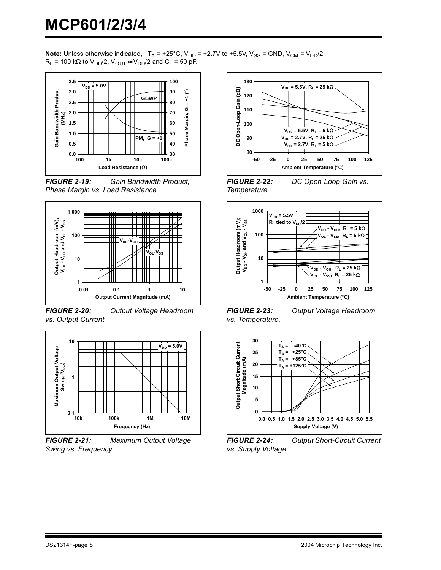**Note:** Unless otherwise indicated,  $T_A = +25^\circ \text{C}$ ,  $V_{DD} = +2.7 \text{V}$  to  $+5.5 \text{V}$ ,  $V_{SS} =$  GND,  $V_{CM} = V_{DD}/2$ ,  $R_L$  = 100 kΩ to V<sub>DD</sub>/2, V<sub>OUT</sub>  $\approx$  V<sub>DD</sub>/2 and C<sub>L</sub> = 50 pF.



*FIGURE 2-19: Gain Bandwidth Product, Phase Margin vs. Load Resistance.*



*FIGURE 2-20: Output Voltage Headroom vs. Output Current.*



*FIGURE 2-21: Maximum Output Voltage Swing vs. Frequency.*



*FIGURE 2-22: DC Open-Loop Gain vs. Temperature.*



*FIGURE 2-23: Output Voltage Headroom vs. Temperature.*



*FIGURE 2-24: Output Short-Circuit Current vs. Supply Voltage.*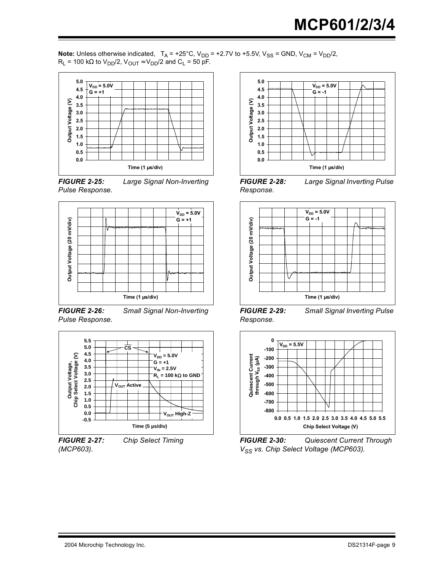**Note:** Unless otherwise indicated,  $T_A$  = +25°C, V<sub>DD</sub> = +2.7V to +5.5V, V<sub>SS</sub> = GND, V<sub>CM</sub> = V<sub>DD</sub>/2,  $R_{L}$  = 100 kΩ to V<sub>DD</sub>/2, V<sub>OUT</sub> ≈ V<sub>DD</sub>/2 and C<sub>L</sub> = 50 pF.



*FIGURE 2-25: Large Signal Non-Inverting Pulse Response.*



*FIGURE 2-26: Small Signal Non-Inverting Pulse Response.*



*(MCP603).*

<span id="page-8-0"></span>*FIGURE 2-27: Chip Select Timing* 



*FIGURE 2-28: Large Signal Inverting Pulse Response.*



*FIGURE 2-29: Small Signal Inverting Pulse Response.*



*FIGURE 2-30: Quiescent Current Through V<sub>SS</sub> vs. Chip Select Voltage (MCP603).*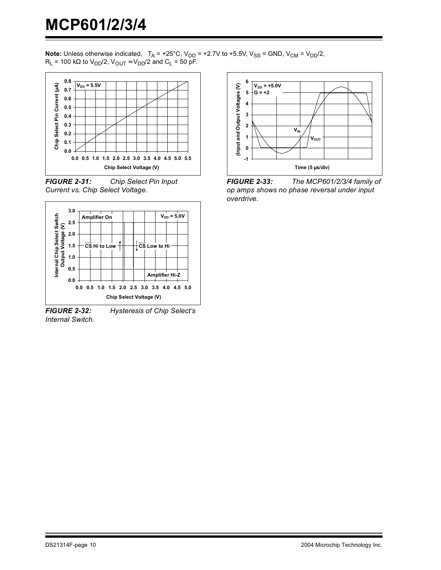**Note:** Unless otherwise indicated,  $T_A$  = +25°C, V<sub>DD</sub> = +2.7V to +5.5V, V<sub>SS</sub> = GND, V<sub>CM</sub> = V<sub>DD</sub>/2,  $R_{L}$  = 100 kΩ to V<sub>DD</sub>/2, V<sub>OUT</sub> ≈ V<sub>DD</sub>/2 and C<sub>L</sub> = 50 pF.



*FIGURE 2-31: Chip Select Pin Input Current vs. Chip Select Voltage.*



*FIGURE 2-32: Hysteresis of Chip Select's Internal Switch.*



<span id="page-9-0"></span>*FIGURE 2-33: The MCP601/2/3/4 family of op amps shows no phase reversal under input overdrive.*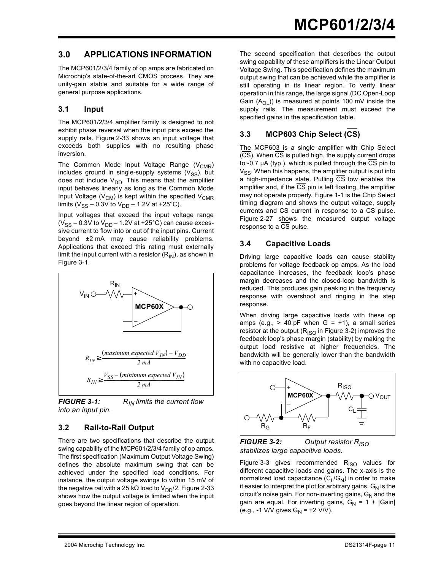## **3.0 APPLICATIONS INFORMATION**

The MCP601/2/3/4 family of op amps are fabricated on Microchip's state-of-the-art CMOS process. They are unity-gain stable and suitable for a wide range of general purpose applications.

#### **3.1 Input**

The MCP601/2/3/4 amplifier family is designed to not exhibit phase reversal when the input pins exceed the supply rails. [Figure 2-33](#page-9-0) shows an input voltage that exceeds both supplies with no resulting phase inversion.

The Common Mode Input Voltage Range  $(V_{CMR})$ includes ground in single-supply systems  $(V_{SS})$ , but does not include  $V_{DD}$ . This means that the amplifier input behaves linearly as long as the Common Mode Input Voltage ( $V_{CM}$ ) is kept within the specified  $V_{CMR}$ limits ( $V_{SS}$  – 0.3V to  $V_{DD}$  – 1.2V at +25°C).

Input voltages that exceed the input voltage range  $(V_{SS} - 0.3V$  to  $V_{DD} - 1.2V$  at +25°C) can cause excessive current to flow into or out of the input pins. Current beyond ±2 mA may cause reliability problems. Applications that exceed this rating must externally limit the input current with a resistor  $(R_{IN})$ , as shown in [Figure 3-1](#page-10-0).



<span id="page-10-0"></span>*FIGURE 3-1: RIN limits the current flow into an input pin.*

### **3.2 Rail-to-Rail Output**

There are two specifications that describe the output swing capability of the MCP601/2/3/4 family of op amps. The first specification (Maximum Output Voltage Swing) defines the absolute maximum swing that can be achieved under the specified load conditions. For instance, the output voltage swings to within 15 mV of the negative rail with a 25 kΩ load to  $V_{DD}/2$ . [Figure 2-33](#page-9-0) shows how the output voltage is limited when the input goes beyond the linear region of operation.

The second specification that describes the output swing capability of these amplifiers is the Linear Output Voltage Swing. This specification defines the maximum output swing that can be achieved while the amplifier is still operating in its linear region. To verify linear operation in this range, the large signal (DC Open-Loop Gain  $(A<sub>O1</sub>)$ ) is measured at points 100 mV inside the supply rails. The measurement must exceed the specified gains in the specification table.

## **3.3 MCP603 Chip Select (CS)**

The MCP603 is a single amplifier with Chip Select  $(\overline{CS})$ . When  $\overline{CS}$  is pulled high, the supply current drops to -0.7 µA (typ.), which is pulled through the CS pin to V<sub>SS</sub>. When this happens, the amplifier output is put into a high-impedance state. Pulling CS low enables the amplifier and, if the  $\overline{CS}$  pin is left floating, the amplifier may not operate properly. [Figure 1-1](#page-2-0) is the Chip Select timing diagram and shows the output voltage, supply currents and CS current in response to a CS pulse. [Figure 2-27](#page-8-0) shows the measured output voltage response to a  $\overline{CS}$  pulse.

### **3.4 Capacitive Loads**

Driving large capacitive loads can cause stability problems for voltage feedback op amps. As the load capacitance increases, the feedback loop's phase margin decreases and the closed-loop bandwidth is reduced. This produces gain peaking in the frequency response with overshoot and ringing in the step response.

When driving large capacitive loads with these op amps (e.g.,  $> 40$  pF when G = +1), a small series resistor at the output ( $R_{ISO}$  in [Figure 3-2](#page-10-1)) improves the feedback loop's phase margin (stability) by making the output load resistive at higher frequencies. The bandwidth will be generally lower than the bandwidth with no capacitive load.



<span id="page-10-1"></span>*FIGURE 3-2: Output resistor RISO stabilizes large capacitive loads.*

[Figure 3-3](#page-11-0) gives recommended  $R_{ISO}$  values for different capacitive loads and gains. The x-axis is the normalized load capacitance  $(C_1/G_N)$  in order to make it easier to interpret the plot for arbitrary gains.  $G_N$  is the circuit's noise gain. For non-inverting gains,  $G_N$  and the gain are equal. For inverting gains,  $G_N = 1 + |Gain|$ (e.g., -1 V/V gives  $G_N$  = +2 V/V).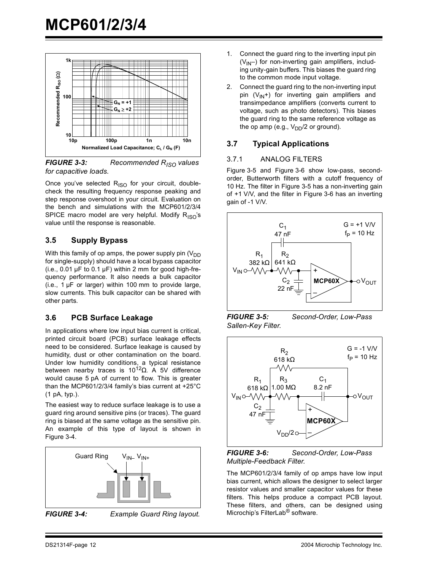

<span id="page-11-0"></span>*FIGURE 3-3: Recommended RISO values for capacitive loads.*

Once you've selected  $R_{\text{ISO}}$  for your circuit, doublecheck the resulting frequency response peaking and step response overshoot in your circuit. Evaluation on the bench and simulations with the MCP601/2/3/4 SPICE macro model are very helpful. Modify  $R_{ISO}$ 's value until the response is reasonable.

### **3.5 Supply Bypass**

With this family of op amps, the power supply pin  $(V_{DD}$ for single-supply) should have a local bypass capacitor (i.e., 0.01  $\mu$ F to 0.1  $\mu$ F) within 2 mm for good high-frequency performance. It also needs a bulk capacitor (i.e., 1 µF or larger) within 100 mm to provide large, slow currents. This bulk capacitor can be shared with other parts.

### **3.6 PCB Surface Leakage**

In applications where low input bias current is critical, printed circuit board (PCB) surface leakage effects need to be considered. Surface leakage is caused by humidity, dust or other contamination on the board. Under low humidity conditions, a typical resistance between nearby traces is 10<sup>12</sup>Ω. A 5V difference would cause 5 pA of current to flow. This is greater than the MCP601/2/3/4 family's bias current at +25°C (1 pA, typ.).

The easiest way to reduce surface leakage is to use a guard ring around sensitive pins (or traces). The guard ring is biased at the same voltage as the sensitive pin. An example of this type of layout is shown in [Figure 3-4.](#page-11-1)





<span id="page-11-1"></span>*FIGURE 3-4: Example Guard Ring layout.*

- 1. Connect the guard ring to the inverting input pin  $(V_{\text{IN}}-)$  for non-inverting gain amplifiers, including unity-gain buffers. This biases the guard ring to the common mode input voltage.
- 2. Connect the guard ring to the non-inverting input pin  $(V_{1N}^+)$  for inverting gain amplifiers and transimpedance amplifiers (converts current to voltage, such as photo detectors). This biases the guard ring to the same reference voltage as the op amp (e.g.,  $V_{DD}/2$  or ground).

### **3.7 Typical Applications**

#### 3.7.1 ANALOG FILTERS

[Figure 3-5](#page-11-2) and [Figure 3-6](#page-11-3) show low-pass, secondorder, Butterworth filters with a cutoff frequency of 10 Hz. The filter in [Figure 3-5](#page-11-2) has a non-inverting gain of +1 V/V, and the filter in [Figure 3-6](#page-11-3) has an inverting gain of -1 V/V.



<span id="page-11-2"></span>*FIGURE 3-5: Second-Order, Low-Pass Sallen-Key Filter.*



<span id="page-11-3"></span>*FIGURE 3-6: Second-Order, Low-Pass Multiple-Feedback Filter.*

The MCP601/2/3/4 family of op amps have low input bias current, which allows the designer to select larger resistor values and smaller capacitor values for these filters. This helps produce a compact PCB layout. These filters, and others, can be designed using Microchip's FilterLab® software.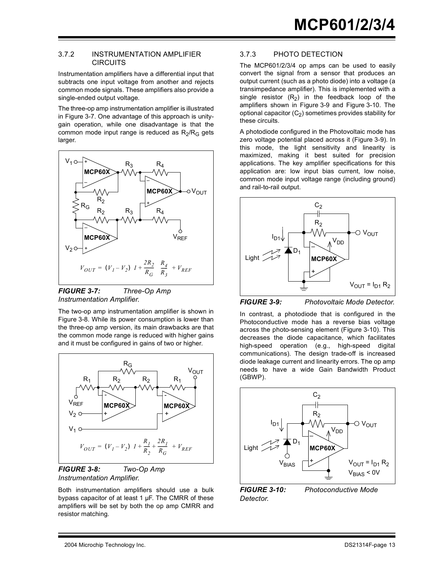#### 3.7.2 INSTRUMENTATION AMPLIFIER **CIRCUITS**

Instrumentation amplifiers have a differential input that subtracts one input voltage from another and rejects common mode signals. These amplifiers also provide a single-ended output voltage.

The three-op amp instrumentation amplifier is illustrated in [Figure 3-7](#page-12-0). One advantage of this approach is unitygain operation, while one disadvantage is that the common mode input range is reduced as  $R_2/R_G$  gets larger.



<span id="page-12-0"></span>*FIGURE 3-7: Three-Op Amp Instrumentation Amplifier.*

The two-op amp instrumentation amplifier is shown in [Figure 3-8.](#page-12-1) While its power consumption is lower than the three-op amp version, its main drawbacks are that the common mode range is reduced with higher gains and it must be configured in gains of two or higher.



<span id="page-12-1"></span>*FIGURE 3-8: Two-Op Amp Instrumentation Amplifier.*

Both instrumentation amplifiers should use a bulk bypass capacitor of at least 1 µF. The CMRR of these amplifiers will be set by both the op amp CMRR and resistor matching.

### 3.7.3 PHOTO DETECTION

The MCP601/2/3/4 op amps can be used to easily convert the signal from a sensor that produces an output current (such as a photo diode) into a voltage (a transimpedance amplifier). This is implemented with a single resistor  $(R<sub>2</sub>)$  in the feedback loop of the amplifiers shown in [Figure 3-9](#page-12-2) and [Figure 3-10.](#page-12-3) The optional capacitor  $(C_2)$  sometimes provides stability for these circuits.

A photodiode configured in the Photovoltaic mode has zero voltage potential placed across it [\(Figure 3-9](#page-12-2)). In this mode, the light sensitivity and linearity is maximized, making it best suited for precision applications. The key amplifier specifications for this application are: low input bias current, low noise, common mode input voltage range (including ground) and rail-to-rail output.



#### <span id="page-12-2"></span>*FIGURE 3-9: Photovoltaic Mode Detector.*

In contrast, a photodiode that is configured in the Photoconductive mode has a reverse bias voltage across the photo-sensing element ([Figure 3-10](#page-12-3)). This decreases the diode capacitance, which facilitates high-speed operation (e.g., high-speed digital communications). The design trade-off is increased diode leakage current and linearity errors. The op amp needs to have a wide Gain Bandwidth Product (GBWP).



<span id="page-12-3"></span>*FIGURE 3-10: Photoconductive Mode Detector.*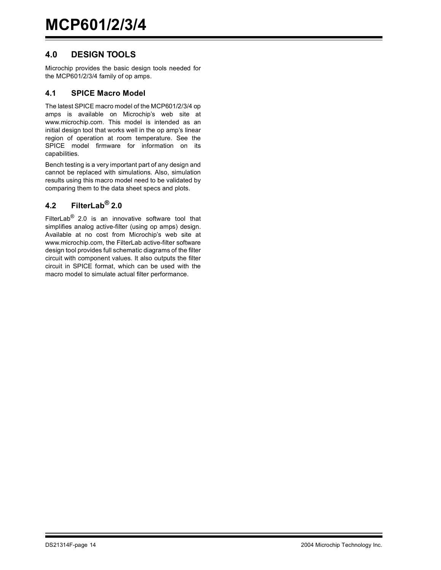## **4.0 DESIGN TOOLS**

Microchip provides the basic design tools needed for the MCP601/2/3/4 family of op amps.

#### **4.1 SPICE Macro Model**

The latest SPICE macro model of the MCP601/2/3/4 op amps is available on Microchip's web site at www.microchip.com. This model is intended as an initial design tool that works well in the op amp's linear region of operation at room temperature. See the SPICE model firmware for information on its capabilities.

Bench testing is a very important part of any design and cannot be replaced with simulations. Also, simulation results using this macro model need to be validated by comparing them to the data sheet specs and plots.

## **4.2 FilterLab® 2.0**

FilterLab<sup>®</sup> 2.0 is an innovative software tool that simplifies analog active-filter (using op amps) design. Available at no cost from Microchip's web site at www.microchip.com, the FilterLab active-filter software design tool provides full schematic diagrams of the filter circuit with component values. It also outputs the filter circuit in SPICE format, which can be used with the macro model to simulate actual filter performance.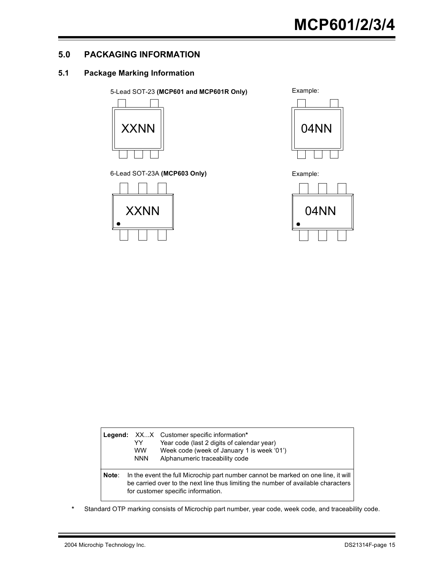### **5.0 PACKAGING INFORMATION**

### **5.1 Package Marking Information**





6-Lead SOT-23A **(MCP603 Only)**







|       | YY<br><b>WW</b><br><b>NNN</b> | <b>Legend:</b> XXX Customer specific information*<br>Year code (last 2 digits of calendar year)<br>Week code (week of January 1 is week '01')<br>Alphanumeric traceability code                              |
|-------|-------------------------------|--------------------------------------------------------------------------------------------------------------------------------------------------------------------------------------------------------------|
| Note: |                               | In the event the full Microchip part number cannot be marked on one line, it will<br>be carried over to the next line thus limiting the number of available characters<br>for customer specific information. |

**\*** Standard OTP marking consists of Microchip part number, year code, week code, and traceability code.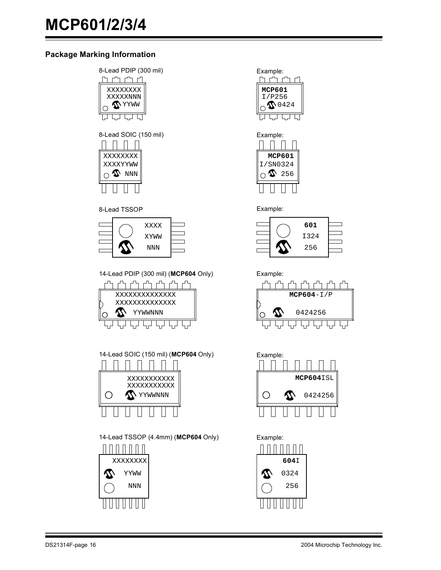

14-Lead TSSOP (4.4mm) (**MCP604** Only) Example:



14-Lead SOIC (150 mil) (**MCP604** Only) Example:



14-Lead PDIP (300 mil) (**MCP604** Only) Example:



8-Lead TSSOP **Example:** 



XXXXXXXX XXXXXNNN **X**YYWW

ਧ

<u>n m m n</u>











8-Lead PDIP (300 mil) Example: ח רז רז ח **MCP601** I/P256 10424 ┒  $\boldsymbol{\mathsf{T}}$ 

**Package Marking Information**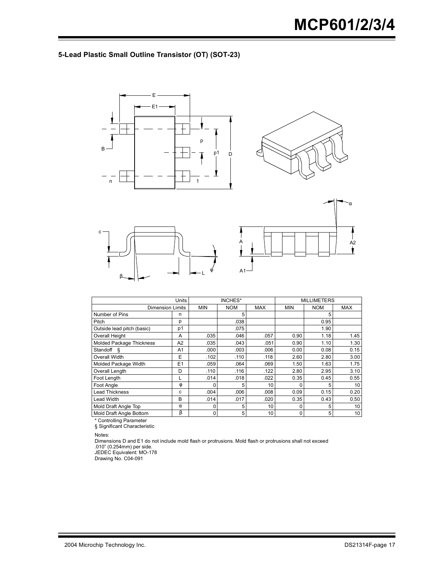### **5-Lead Plastic Small Outline Transistor (OT) (SOT-23)**









|                            | Units          |            | INCHES*    |            | <b>MILLIMETERS</b> |            |            |  |
|----------------------------|----------------|------------|------------|------------|--------------------|------------|------------|--|
| <b>Dimension Limits</b>    |                | <b>MIN</b> | <b>NOM</b> | <b>MAX</b> | <b>MIN</b>         | <b>NOM</b> | <b>MAX</b> |  |
| Number of Pins             | n              |            | 5          |            |                    | 5          |            |  |
| Pitch                      | р              |            | .038       |            |                    | 0.95       |            |  |
| Outside lead pitch (basic) | p1             |            | .075       |            |                    | 1.90       |            |  |
| <b>Overall Height</b>      | A              | .035       | .046       | .057       | 0.90               | 1.18       | 1.45       |  |
| Molded Package Thickness   | A2             | .035       | .043       | .051       | 0.90               | 1.10       | 1.30       |  |
| Standoff &                 | A <sub>1</sub> | .000       | .003       | .006       | 0.00               | 0.08       | 0.15       |  |
| Overall Width              | E              | .102       | .110       | .118       | 2.60               | 2.80       | 3.00       |  |
| Molded Package Width       | E1             | .059       | .064       | .069       | 1.50               | 1.63       | 1.75       |  |
| Overall Length             | D              | .110       | .116       | .122       | 2.80               | 2.95       | 3.10       |  |
| Foot Length                |                | .014       | .018       | .022       | 0.35               | 0.45       | 0.55       |  |
| Foot Angle                 | Φ              | U          | 5          | 10         | O                  | 5          | 10         |  |
| <b>Lead Thickness</b>      | C              | .004       | .006       | .008       | 0.09               | 0.15       | 0.20       |  |
| Lead Width                 | B              | .014       | .017       | .020       | 0.35               | 0.43       | 0.50       |  |
| Mold Draft Angle Top       | $\alpha$       | 0          | 5          | 10         | 0                  | 5          | 10         |  |
| Mold Draft Angle Bottom    | β              | 0          | 5          | 10         | $\Omega$           | 5          | 10         |  |

\* Controlling Parameter § Significant Characteristic

Notes:

Dimensions D and E1 do not include mold flash or protrusions. Mold flash or protrusions shall not exceed .010" (0.254mm) per side. JEDEC Equivalent: MO-178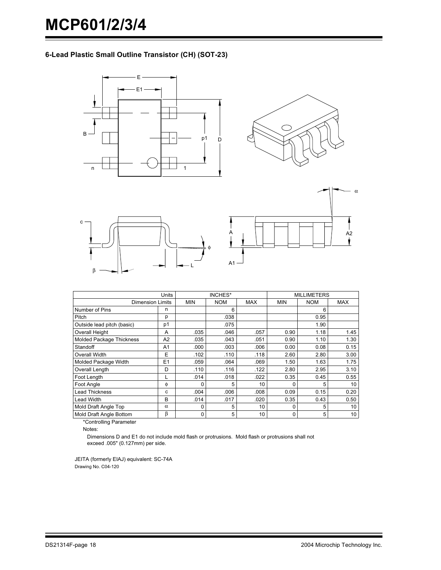**6-Lead Plastic Small Outline Transistor (CH) (SOT-23)**









|                                 | Units          |              | INCHES*    |            | <b>MILLIMETERS</b> |            |            |  |
|---------------------------------|----------------|--------------|------------|------------|--------------------|------------|------------|--|
| <b>Dimension Limits</b>         |                | <b>MIN</b>   | <b>NOM</b> | <b>MAX</b> | <b>MIN</b>         | <b>NOM</b> | <b>MAX</b> |  |
| Number of Pins                  | n              |              | 6          |            |                    | 6          |            |  |
| Pitch                           | р              |              | .038       |            |                    | 0.95       |            |  |
| Outside lead pitch (basic)      | p1             |              | .075       |            |                    | 1.90       |            |  |
| <b>Overall Height</b>           | A              | .035         | .046       | .057       | 0.90               | 1.18       | 1.45       |  |
| <b>Molded Package Thickness</b> | A <sub>2</sub> | .035         | .043       | .051       | 0.90               | 1.10       | 1.30       |  |
| Standoff                        | A1             | .000         | .003       | .006       | 0.00               | 0.08       | 0.15       |  |
| Overall Width                   | E              | .102         | .110       | .118       | 2.60               | 2.80       | 3.00       |  |
| Molded Package Width            | E <sub>1</sub> | .059         | .064       | .069       | 1.50               | 1.63       | 1.75       |  |
| Overall Length                  | D              | .110         | .116       | .122       | 2.80               | 2.95       | 3.10       |  |
| Foot Length                     | L              | .014         | .018       | .022       | 0.35               | 0.45       | 0.55       |  |
| Foot Angle                      | φ              | ∩            |            | 10         |                    | 5          | 10         |  |
| <b>Lead Thickness</b>           | с              | .004         | .006       | .008       | 0.09               | 0.15       | 0.20       |  |
| Lead Width                      | B              | .014         | .017       | .020       | 0.35               | 0.43       | 0.50       |  |
| Mold Draft Angle Top            | $\alpha$       | $\Omega$     | 5          | 10         | o                  | 5          | 10         |  |
| Mold Draft Angle Bottom         | β              | $\mathbf{0}$ | 5          | 10         | 0                  | 5          | 10         |  |

\*Controlling Parameter

Notes:

exceed .005" (0.127mm) per side. Dimensions D and E1 do not include mold flash or protrusions. Mold flash or protrusions shall not

JEITA (formerly EIAJ) equivalent: SC-74A Drawing No. C04-120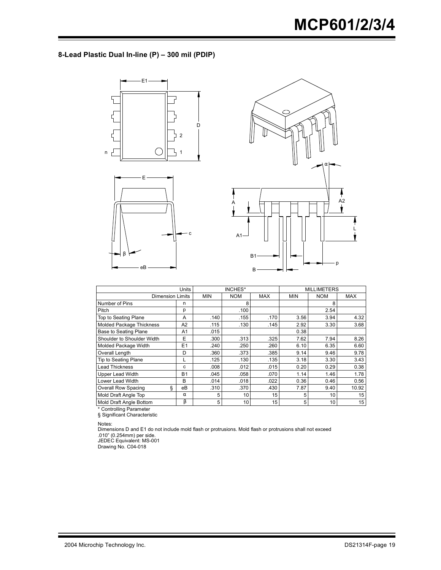## **8-Lead Plastic Dual In-line (P) – 300 mil (PDIP)**







|                                 | <b>Units</b>   |            | INCHES*    |            | <b>MILLIMETERS</b> |            |            |
|---------------------------------|----------------|------------|------------|------------|--------------------|------------|------------|
| <b>Dimension Limits</b>         |                | <b>MIN</b> | <b>NOM</b> | <b>MAX</b> | <b>MIN</b>         | <b>NOM</b> | <b>MAX</b> |
| Number of Pins                  | n              |            | 8          |            |                    | 8          |            |
| Pitch                           | р              |            | .100       |            |                    | 2.54       |            |
| Top to Seating Plane            | A              | .140       | .155       | .170       | 3.56               | 3.94       | 4.32       |
| <b>Molded Package Thickness</b> | A2             | .115       | .130       | .145       | 2.92               | 3.30       | 3.68       |
| <b>Base to Seating Plane</b>    | A <sub>1</sub> | .015       |            |            | 0.38               |            |            |
| Shoulder to Shoulder Width      | E              | .300       | .313       | .325       | 7.62               | 7.94       | 8.26       |
| Molded Package Width            | E1             | .240       | .250       | .260       | 6.10               | 6.35       | 6.60       |
| Overall Length                  | D              | .360       | .373       | .385       | 9.14               | 9.46       | 9.78       |
| Tip to Seating Plane            |                | .125       | .130       | .135       | 3.18               | 3.30       | 3.43       |
| <b>Lead Thickness</b>           | с              | .008       | .012       | .015       | 0.20               | 0.29       | 0.38       |
| <b>Upper Lead Width</b>         | <b>B1</b>      | .045       | .058       | .070       | 1.14               | 1.46       | 1.78       |
| Lower Lead Width                | B              | .014       | .018       | .022       | 0.36               | 0.46       | 0.56       |
| ş<br><b>Overall Row Spacing</b> | eB             | .310       | .370       | .430       | 7.87               | 9.40       | 10.92      |
| Mold Draft Angle Top            | $\alpha$       | 5          | 10         | 15         | 5                  | 10         | 15         |
| Mold Draft Angle Bottom         | β              | 5          | 10         | 15         | 5                  | 10         | 15         |

\* Controlling Parameter § Significant Characteristic

Notes:

Dimensions D and E1 do not include mold flash or protrusions. Mold flash or protrusions shall not exceed .010" (0.254mm) per side.

JEDEC Equivalent: MS-001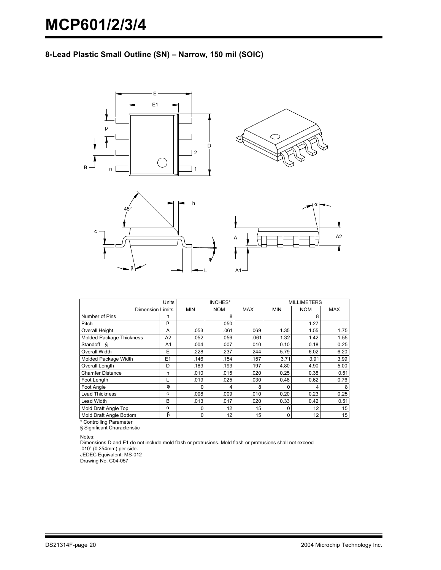## **8-Lead Plastic Small Outline (SN) – Narrow, 150 mil (SOIC)**









|                          | <b>Units</b>   |            | INCHES*    |                 | <b>MILLIMETERS</b> |            |            |
|--------------------------|----------------|------------|------------|-----------------|--------------------|------------|------------|
| <b>Dimension Limits</b>  |                | <b>MIN</b> | <b>NOM</b> | <b>MAX</b>      | <b>MIN</b>         | <b>NOM</b> | <b>MAX</b> |
| Number of Pins           | n              |            | 8          |                 |                    | 8          |            |
| Pitch                    | р              |            | .050       |                 |                    | 1.27       |            |
| Overall Height           | A              | .053       | .061       | .069            | 1.35               | 1.55       | 1.75       |
| Molded Package Thickness | A2             | .052       | .056       | .061            | 1.32               | 1.42       | 1.55       |
| Standoff §               | A1             | .004       | .007       | .010            | 0.10               | 0.18       | 0.25       |
| Overall Width            | E              | .228       | .237       | .244            | 5.79               | 6.02       | 6.20       |
| Molded Package Width     | E <sub>1</sub> | .146       | .154       | .157            | 3.71               | 3.91       | 3.99       |
| Overall Length           | D              | .189       | .193       | .197            | 4.80               | 4.90       | 5.00       |
| <b>Chamfer Distance</b>  | h              | .010       | .015       | .020            | 0.25               | 0.38       | 0.51       |
| Foot Length              |                | .019       | .025       | .030            | 0.48               | 0.62       | 0.76       |
| Foot Angle               | $\phi$         | 0          | 4          | 8               | 0                  | 4          | 8          |
| <b>Lead Thickness</b>    | с              | .008       | .009       | .010            | 0.20               | 0.23       | 0.25       |
| <b>Lead Width</b>        | B              | .013       | .017       | .020            | 0.33               | 0.42       | 0.51       |
| Mold Draft Angle Top     | $\alpha$       | 0          | 12         | 15              | 0                  | 12         | 15         |
| Mold Draft Angle Bottom  | β              | 0          | 12         | 15 <sub>l</sub> | 0                  | 12         | 15         |

\* Controlling Parameter

§ Significant Characteristic

Notes:

Dimensions D and E1 do not include mold flash or protrusions. Mold flash or protrusions shall not exceed .010" (0.254mm) per side. JEDEC Equivalent: MS-012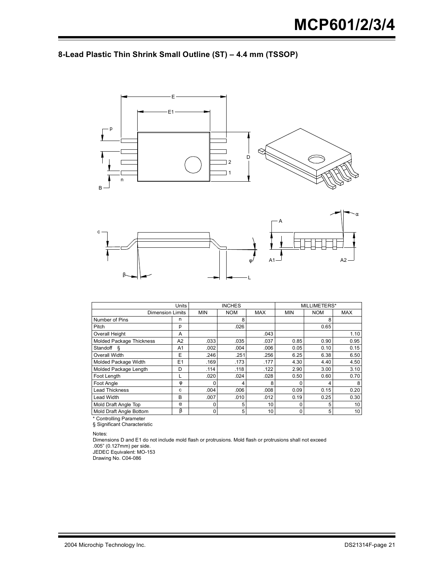





|                          | <b>Units</b>   |            | <b>INCHES</b> |            |            | MILLIMETERS* |            |
|--------------------------|----------------|------------|---------------|------------|------------|--------------|------------|
| <b>Dimension Limits</b>  |                | <b>MIN</b> | <b>NOM</b>    | <b>MAX</b> | <b>MIN</b> | <b>NOM</b>   | <b>MAX</b> |
| Number of Pins           | n              |            | 8             |            |            | 8            |            |
| Pitch                    | р              |            | .026          |            |            | 0.65         |            |
| <b>Overall Height</b>    | A              |            |               | .043       |            |              | 1.10       |
| Molded Package Thickness | A <sub>2</sub> | .033       | .035          | .037       | 0.85       | 0.90         | 0.95       |
| Standoff §               | A <sub>1</sub> | .002       | .004          | .006       | 0.05       | 0.10         | 0.15       |
| Overall Width            | E              | .246       | .251          | .256       | 6.25       | 6.38         | 6.50       |
| Molded Package Width     | E1             | .169       | .173          | .177       | 4.30       | 4.40         | 4.50       |
| Molded Package Length    | D              | .114       | .118          | .122       | 2.90       | 3.00         | 3.10       |
| Foot Length              | L              | .020       | .024          | .028       | 0.50       | 0.60         | 0.70       |
| Foot Angle               | φ              | 0          | 4             | 8          |            | 4            | 8          |
| <b>Lead Thickness</b>    | c              | .004       | .006          | .008       | 0.09       | 0.15         | 0.20       |
| Lead Width               | B              | .007       | .010          | .012       | 0.19       | 0.25         | 0.30       |
| Mold Draft Angle Top     | $\alpha$       | 0          | 5             | 10         | 0          | 5            | 10         |
| Mold Draft Angle Bottom  | β              | 0          | 5             | 10         | $\Omega$   | 5            | 10         |

\* Controlling Parameter

§ Significant Characteristic

Notes:

Dimensions D and E1 do not include mold flash or protrusions. Mold flash or protrusions shall not exceed .005" (0.127mm) per side. JEDEC Equivalent: MO-153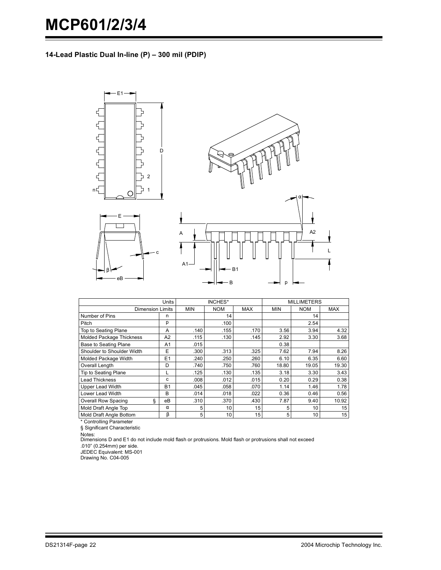**14-Lead Plastic Dual In-line (P) – 300 mil (PDIP)**



|                                 | Units          |            | INCHES*    |      |            | <b>MILLIMETERS</b> |            |
|---------------------------------|----------------|------------|------------|------|------------|--------------------|------------|
| <b>Dimension Limits</b>         |                | <b>MIN</b> | <b>NOM</b> | MAX  | <b>MIN</b> | <b>NOM</b>         | <b>MAX</b> |
| Number of Pins                  | n              |            | 14         |      |            | 14                 |            |
| Pitch                           | р              |            | .100       |      |            | 2.54               |            |
| Top to Seating Plane            | A              | .140       | .155       | .170 | 3.56       | 3.94               | 4.32       |
| Molded Package Thickness        | A2             | .115       | .130       | .145 | 2.92       | 3.30               | 3.68       |
| <b>Base to Seating Plane</b>    | A <sub>1</sub> | .015       |            |      | 0.38       |                    |            |
| Shoulder to Shoulder Width      | E              | .300       | .313       | .325 | 7.62       | 7.94               | 8.26       |
| Molded Package Width            | E1             | .240       | .250       | .260 | 6.10       | 6.35               | 6.60       |
| Overall Length                  | D              | .740       | .750       | .760 | 18.80      | 19.05              | 19.30      |
| Tip to Seating Plane            | L              | .125       | .130       | .135 | 3.18       | 3.30               | 3.43       |
| <b>Lead Thickness</b>           | c              | .008       | .012       | .015 | 0.20       | 0.29               | 0.38       |
| Upper Lead Width                | <b>B1</b>      | .045       | .058       | .070 | 1.14       | 1.46               | 1.78       |
| Lower Lead Width                | B              | .014       | .018       | .022 | 0.36       | 0.46               | 0.56       |
| ş<br><b>Overall Row Spacing</b> | eB             | .310       | .370       | .430 | 7.87       | 9.40               | 10.92      |
| Mold Draft Angle Top            | $\alpha$       | 5          | 10         | 15   | 5          | 10                 | 15         |
| Mold Draft Angle Bottom         | β              | 5          | 10         | 15   | 5          | 10                 | 15         |

\* Controlling Parameter

§ Significant Characteristic

Notes: Dimensions D and E1 do not include mold flash or protrusions. Mold flash or protrusions shall not exceed .010" (0.254mm) per side.

JEDEC Equivalent: MS-001 Drawing No. C04-005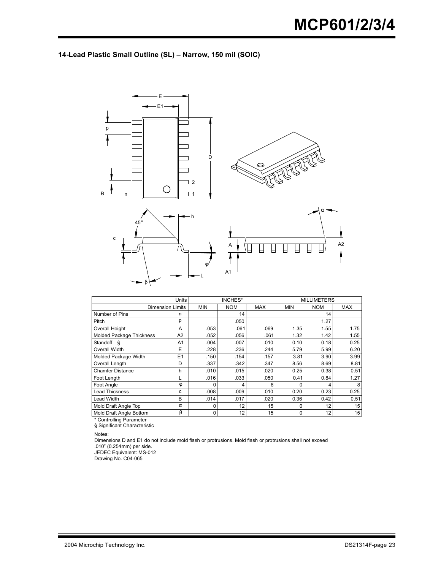### **14-Lead Plastic Small Outline (SL) – Narrow, 150 mil (SOIC)**



|                          | <b>Units</b>   | INCHES*    |            | <b>MILLIMETERS</b> |            |            |            |
|--------------------------|----------------|------------|------------|--------------------|------------|------------|------------|
| <b>Dimension Limits</b>  |                | <b>MIN</b> | <b>NOM</b> | <b>MAX</b>         | <b>MIN</b> | <b>NOM</b> | <b>MAX</b> |
| Number of Pins           | n              |            | 14         |                    |            | 14         |            |
| Pitch                    | р              |            | .050       |                    |            | 1.27       |            |
| <b>Overall Height</b>    | A              | .053       | .061       | .069               | 1.35       | 1.55       | 1.75       |
| Molded Package Thickness | A <sub>2</sub> | .052       | .056       | .061               | 1.32       | 1.42       | 1.55       |
| Standoff §               | A <sub>1</sub> | .004       | .007       | .010               | 0.10       | 0.18       | 0.25       |
| Overall Width            | E              | .228       | .236       | .244               | 5.79       | 5.99       | 6.20       |
| Molded Package Width     | E <sub>1</sub> | .150       | .154       | .157               | 3.81       | 3.90       | 3.99       |
| Overall Length           | D              | .337       | .342       | .347               | 8.56       | 8.69       | 8.81       |
| <b>Chamfer Distance</b>  | h              | .010       | .015       | .020               | 0.25       | 0.38       | 0.51       |
| Foot Length              |                | .016       | .033       | .050               | 0.41       | 0.84       | 1.27       |
| Foot Angle               | Φ              | 0          |            | 8                  | O          | 4          | 8          |
| <b>Lead Thickness</b>    | c              | .008       | .009       | .010               | 0.20       | 0.23       | 0.25       |
| <b>Lead Width</b>        | B              | .014       | .017       | .020               | 0.36       | 0.42       | 0.51       |
| Mold Draft Angle Top     | $\alpha$       | 0          | 12         | 15                 | O          | 12         | 15         |
| Mold Draft Angle Bottom  | β              | 0          | 12         | 15                 | 0          | 12         | 15         |

\* Controlling Parameter § Significant Characteristic

Notes:

Dimensions D and E1 do not include mold flash or protrusions. Mold flash or protrusions shall not exceed .010" (0.254mm) per side.

JEDEC Equivalent: MS-012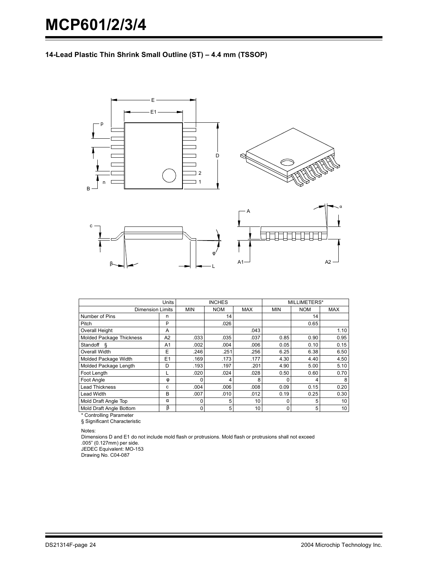**14-Lead Plastic Thin Shrink Small Outline (ST) – 4.4 mm (TSSOP)**



|                           | <b>Units</b>   | <b>INCHES</b> |            | MILLIMETERS* |            |            |            |
|---------------------------|----------------|---------------|------------|--------------|------------|------------|------------|
| <b>Dimension Limits</b>   |                | <b>MIN</b>    | <b>NOM</b> | <b>MAX</b>   | <b>MIN</b> | <b>NOM</b> | <b>MAX</b> |
| Number of Pins            | n              |               | 14         |              |            | 14         |            |
| Pitch                     | р              |               | .026       |              |            | 0.65       |            |
| Overall Height            | A              |               |            | .043         |            |            | 1.10       |
| Molded Package Thickness  | A <sub>2</sub> | .033          | .035       | .037         | 0.85       | 0.90       | 0.95       |
| Standoff<br>$\mathcal{S}$ | A <sub>1</sub> | .002          | .004       | .006         | 0.05       | 0.10       | 0.15       |
| Overall Width             | E              | .246          | .251       | .256         | 6.25       | 6.38       | 6.50       |
| Molded Package Width      | E1             | .169          | .173       | .177         | 4.30       | 4.40       | 4.50       |
| Molded Package Length     | D              | .193          | .197       | .201         | 4.90       | 5.00       | 5.10       |
| Foot Length               |                | .020          | .024       | .028         | 0.50       | 0.60       | 0.70       |
| Foot Angle                | φ              |               |            | 8            | O          |            | 8          |
| <b>Lead Thickness</b>     | c              | .004          | .006       | .008         | 0.09       | 0.15       | 0.20       |
| Lead Width                | B              | .007          | .010       | .012         | 0.19       | 0.25       | 0.30       |
| Mold Draft Angle Top      | $\alpha$       | 0             | 5          | 10           | 0          | 5          | 10         |
| Mold Draft Angle Bottom   | β              | 0             | 5          | 10           | $\Omega$   | 5          | 10         |

\* Controlling Parameter

§ Significant Characteristic

Notes:

Dimensions D and E1 do not include mold flash or protrusions. Mold flash or protrusions shall not exceed .005" (0.127mm) per side. JEDEC Equivalent: MO-153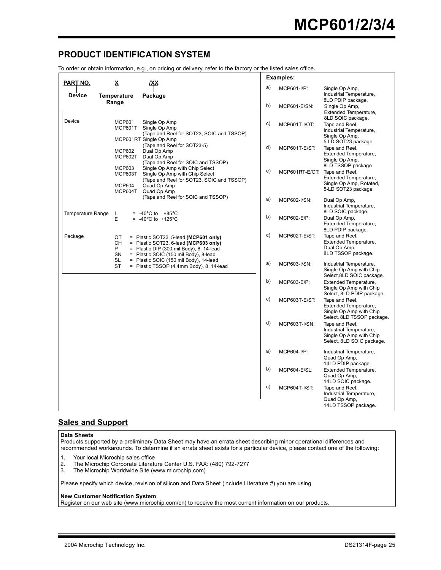## **PRODUCT IDENTIFICATION SYSTEM**

To order or obtain information, e.g., on pricing or delivery, refer to the factory or the listed sales office.

| <b>PART NO.</b>   | <b>IXX</b><br><u>x</u>                                                                                                                                                                                                                               |    | Examples:                     |                                                                                                   |
|-------------------|------------------------------------------------------------------------------------------------------------------------------------------------------------------------------------------------------------------------------------------------------|----|-------------------------------|---------------------------------------------------------------------------------------------------|
| <b>Device</b>     | Temperature<br>Package                                                                                                                                                                                                                               | a) | MCP601-I/P:                   | Single Op Amp,<br>Industrial Temperature,<br>8LD PDIP package.                                    |
|                   | Range                                                                                                                                                                                                                                                | b) | MCP601-E/SN:                  | Single Op Amp,<br>Extended Temperature,<br>8LD SOIC package.                                      |
| Device            | <b>MCP601</b><br>Single Op Amp<br>Single Op Amp<br>MCP601T<br>(Tape and Reel for SOT23, SOIC and TSSOP)<br>MCP601RT Single Op Amp                                                                                                                    | C) | MCP601T-I/OT:                 | Tape and Reel,<br>Industrial Temperature.<br>Single Op Amp.<br>5-LD SOT23 package.                |
|                   | (Tape and Reel for SOT23-5)<br><b>MCP602</b><br>Dual Op Amp<br>MCP602T<br>Dual Op Amp<br>(Tape and Reel for SOIC and TSSOP)<br>Single Op Amp with Chip Select<br>MCP603                                                                              | d) | MCP601T-E/ST:                 | Tape and Reel,<br>Extended Temperature,<br>Single Op Amp.<br>8LD TSSOP package                    |
|                   | MCP603T<br>Single Op Amp with Chip Select<br>(Tape and Reel for SOT23, SOIC and TSSOP)<br><b>MCP604</b><br>Quad Op Amp<br>MCP604T<br>Quad Op Amp                                                                                                     | e) | MCP601RT-E/OT: Tape and Reel, | Extended Temperature,<br>Single Op Amp, Rotated,<br>5-LD SOT23 package.                           |
| Temperature Range | (Tape and Reel for SOIC and TSSOP)<br>$= -40^{\circ}$ C to $+85^{\circ}$ C<br>$\mathbf{I}$                                                                                                                                                           | a) | MCP602-I/SN:                  | Dual Op Amp,<br>Industrial Temperature,<br>8LD SOIC package.                                      |
|                   | E<br>$= -40^{\circ}$ C to +125 $^{\circ}$ C                                                                                                                                                                                                          | b) | MCP602-E/P:                   | Dual Op Amp,<br>Extended Temperature,<br>8LD PDIP package.                                        |
| Package           | OT<br>= Plastic SOT23, 5-lead (MCP601 only)<br>CH.<br>$=$ Plastic SOT23, 6-lead (MCP603 only)<br>= Plastic DIP (300 mil Body), 8, 14-lead<br>P<br>SN<br>= Plastic SOIC (150 mil Body), 8-lead<br>= Plastic SOIC (150 mil Body), 14-lead<br><b>SL</b> | c) | MCP602T-E/ST:                 | Tape and Reel,<br>Extended Temperature,<br>Dual Op Amp,<br>8LD TSSOP package.                     |
|                   | = Plastic TSSOP (4.4mm Body), 8, 14-lead<br>ST                                                                                                                                                                                                       | a) | MCP603-I/SN:                  | Industrial Temperature,<br>Single Op Amp with Chip<br>Select, 8LD SOIC package.                   |
|                   |                                                                                                                                                                                                                                                      | b) | MCP603-E/P:                   | Extended Temperature,<br>Single Op Amp with Chip<br>Select, 8LD PDIP package.                     |
|                   |                                                                                                                                                                                                                                                      | c) | MCP603T-E/ST:                 | Tape and Reel,<br>Extended Temperature,<br>Single Op Amp with Chip<br>Select, 8LD TSSOP package.  |
|                   |                                                                                                                                                                                                                                                      | d) | MCP603T-I/SN:                 | Tape and Reel,<br>Industrial Temperature,<br>Single Op Amp with Chip<br>Select, 8LD SOIC package. |
|                   |                                                                                                                                                                                                                                                      | a) | MCP604-I/P:                   | Industrial Temperature.<br>Quad Op Amp.<br>14LD PDIP package.                                     |
|                   |                                                                                                                                                                                                                                                      | b) | MCP604-E/SL:                  | Extended Temperature,<br>Quad Op Amp.<br>14LD SOIC package.                                       |
|                   |                                                                                                                                                                                                                                                      | C) | MCP604T-I/ST:                 | Tape and Reel,<br>Industrial Temperature,<br>Quad Op Amp.<br>14LD TSSOP package.                  |

#### **Sales and Support**

#### **Data Sheets**

Products supported by a preliminary Data Sheet may have an errata sheet describing minor operational differences and recommended workarounds. To determine if an errata sheet exists for a particular device, please contact one of the following:

- 
- 1. Your local Microchip sales office<br>2. The Microchip Corporate Literatu 2. The Microchip Corporate Literature Center U.S. FAX: (480) 792-7277<br>3. The Microchip Worldwide Site (www.microchip.com)
- 3. The Microchip Worldwide Site (www.microchip.com)

Please specify which device, revision of silicon and Data Sheet (include Literature #) you are using.

#### **New Customer Notification System**

Register on our web site (www.microchip.com/cn) to receive the most current information on our products.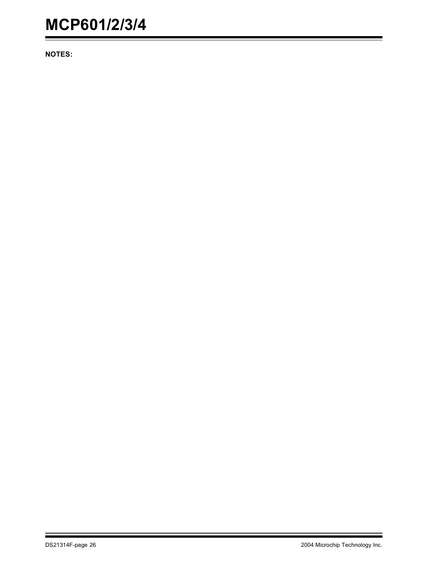**NOTES:**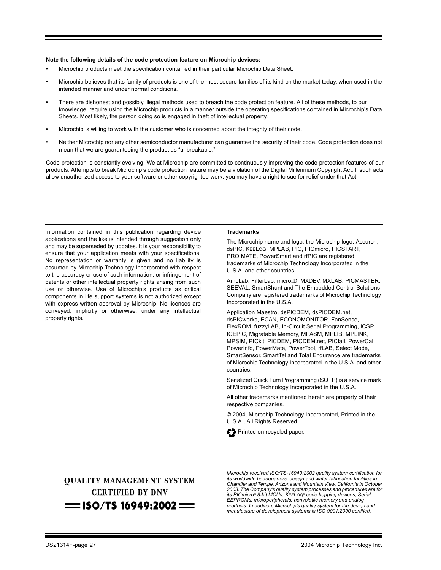#### **Note the following details of the code protection feature on Microchip devices:**

- Microchip products meet the specification contained in their particular Microchip Data Sheet.
- Microchip believes that its family of products is one of the most secure families of its kind on the market today, when used in the intended manner and under normal conditions.
- There are dishonest and possibly illegal methods used to breach the code protection feature. All of these methods, to our knowledge, require using the Microchip products in a manner outside the operating specifications contained in Microchip's Data Sheets. Most likely, the person doing so is engaged in theft of intellectual property.
- Microchip is willing to work with the customer who is concerned about the integrity of their code.
- Neither Microchip nor any other semiconductor manufacturer can guarantee the security of their code. Code protection does not mean that we are guaranteeing the product as "unbreakable."

Code protection is constantly evolving. We at Microchip are committed to continuously improving the code protection features of our products. Attempts to break Microchip's code protection feature may be a violation of the Digital Millennium Copyright Act. If such acts allow unauthorized access to your software or other copyrighted work, you may have a right to sue for relief under that Act.

Information contained in this publication regarding device applications and the like is intended through suggestion only and may be superseded by updates. It is your responsibility to ensure that your application meets with your specifications. No representation or warranty is given and no liability is assumed by Microchip Technology Incorporated with respect to the accuracy or use of such information, or infringement of patents or other intellectual property rights arising from such use or otherwise. Use of Microchip's products as critical components in life support systems is not authorized except with express written approval by Microchip. No licenses are conveyed, implicitly or otherwise, under any intellectual property rights.

#### **Trademarks**

The Microchip name and logo, the Microchip logo, Accuron, dsPIC, KEELOQ, MPLAB, PIC, PICmicro, PICSTART, PRO MATE, PowerSmart and rfPIC are registered trademarks of Microchip Technology Incorporated in the U.S.A. and other countries.

AmpLab, FilterLab, microID, MXDEV, MXLAB, PICMASTER, SEEVAL, SmartShunt and The Embedded Control Solutions Company are registered trademarks of Microchip Technology Incorporated in the U.S.A.

Application Maestro, dsPICDEM, dsPICDEM.net, dsPICworks, ECAN, ECONOMONITOR, FanSense, FlexROM, fuzzyLAB, In-Circuit Serial Programming, ICSP, ICEPIC, Migratable Memory, MPASM, MPLIB, MPLINK, MPSIM, PICkit, PICDEM, PICDEM.net, PICtail, PowerCal, PowerInfo, PowerMate, PowerTool, rfLAB, Select Mode, SmartSensor, SmartTel and Total Endurance are trademarks of Microchip Technology Incorporated in the U.S.A. and other countries.

Serialized Quick Turn Programming (SQTP) is a service mark of Microchip Technology Incorporated in the U.S.A.

All other trademarks mentioned herein are property of their respective companies.

© 2004, Microchip Technology Incorporated, Printed in the U.S.A., All Rights Reserved.



## **QUALITY MANAGEMENT SYSTEM CERTIFIED BY DNV**  $=$  ISO/TS 16949:2002  $=$

*Microchip received ISO/TS-16949:2002 quality system certification for its worldwide headquarters, design and wafer fabrication facilities in Chandler and Tempe, Arizona and Mountain View, California in October 2003. The Company's quality system processes and procedures are for its PICmicro® 8-bit MCUs, KEELOQ® code hopping devices, Serial EEPROMs, microperipherals, nonvolatile memory and analog products. In addition, Microchip's quality system for the design and manufacture of development systems is ISO 9001:2000 certified.*